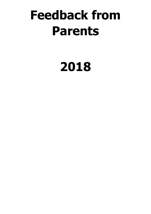# **Feedback from Parents**

# **2018**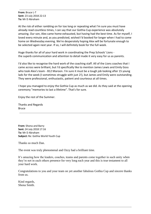**From:** Bruce L-T **Sent:** 23 July 2018 22:13 **To:** Mr D Abraham

At the risk of either rambling on for too long or repeating what I'm sure you must have already read countless times, I can say that our Gothia Cup experience was absolutely amazing. Our son, Alex came home exhausted, but having had the best time. As for myself, I loved every minute and, as you predicted, wished I'd booked for longer when I had to come home on Wednesday evening. We're desperately hoping Alex will be fortunate enough to be selected again next year. If so, I will definitely book for the full week.

Huge thanks for all of your hard work in coordinating the Prep Schools' Lions the superb communication and attention to detail made it very easy for us as parents.

I'd also like to recognise the hard work of the coaching staff. All of the Lions coaches that I came across were brilliant, but I'd specifically like to mention James Lewis and Emily Goss who took Alex's team - B12 Maroon. I'm sure it must be a tough job looking after 15 young lads for the week (I sometimes struggle with just 2!), but James and Emily were outstanding. They were professional, enthusiastic, patient and courteous at all times.

I hope you managed to enjoy the Gothia Cup as much as we did. As they said at the opening ceremony "memories to last a lifetime". That's for sure.

Enjoy the rest of the Summer.

Thanks and Regards Bruce

**From:** Shona and Barry **Sent:** 24 July 2018 17:16 **To:** Mr D Abraham **Subject:** Re: Gothia World Youth Cup

Thanks so much Dan.

The event was truly phenomenal and Ozzy had a brilliant time.

It's amazing how the leaders, coaches, teams and parents come together in such unity when they're not in each others presence for very long each year and this is true testament to all your hard work.

Congratulations to you and your team on yet another fabulous Gothia Cup and sincere thanks from us.

Kind regards, Shona Smith.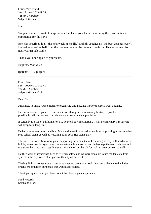**From:** Matt Evand **Sent:** 21 July 2018 09:54 **To:** Mr D Abraham **Subject:** Gothia

Dan

We just wanted to write to express our thanks to your team for running the most fantastic experience for the boys.

Ben has described it as "the best week of his life" and his coaches as "the best coaches ever". He had an absolute ball from the moment he met the team at Heathrow. He cannot wait for next year (if selected!).

Thank you once again to your team.

Regards, Matt & Jo

(parents / B12 purple)

**From:** Sarah **Sent:** 20 July 2018 19:41 **To:** Mr D Abraham **Subject:** Gothia 2018

Dear Dan

Just a note to thank you so much for organising this amazing trip for the Boys from England.

I'm am sure a lot of your free time and efforts has gone in to making this trip as problem free as possible for all concern and for this we are all very much appreciative.

It certainly is a trip of a lifetime for a 12 year old boy like Morgan. It will be a memory I'm sure he will keep for a long time.

He had a wonderful week and both Mark and myself have had as much fun supporting his team, other prep school teams as well as watching other countries teams play.

The staff, Chris and Max were great, supporting the whole team, I can imagine they will need a weeks holiday to recover Morgan is full on, non-stop at home so I expect he has kept them on their toes and not given them too much rest. Please thank them on our behalf for looking after our son so well.

Neither Mark or myself had been to Sweden before and we were also able to use the fantastic tram system in the city to see other parts of the city on our visit.

The highlight of course was that amazing opening ceremony. And if you get a chance to thank the organisers of that on our behalf that would appreciated.

Thank you again for all you have done it had been a great experience

Kind Regards Sarah and Mark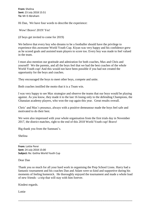**From:** Shelina **Sent:** 23 July 2018 15:51 **To:** Mr D Abraham

Hi Dan, We have four words to describe the experience:

Wow! Bravo! 2019! Yes!

(if boys get invited to come for 2019)

We believe that every boy who dreams to be a footballer should have the privilege to experience this awesome World Youth Cup. Kiyan was very happy and his confidence grew as he scored goals and assisted team players to score too. Every boy was made to feel valued in the team.

I must also mention our gratitude and admiration for both coaches, Max and Chris and yourself! We the parents, and all the boys feel that we had the best coaches of the whole World Youth cup! And this would not have been possible if you had not created the opportunity for the boys and coaches.

They encouraged the boys to meet other boys, compete and unite.

Both coaches instilled the motto that it is a Team win.

I was very happy to see Max strategize and observe the teams that our boys would be playing against. As you know, they made it to the last 16 losing only to the defending Champions, the Ghanaian academy players, who won the cup again this year. Great results overall.

Chris' and Max's presence, always with a positive demeanour made the boys feel safe and motivated to do their best.

We were also impressed with your whole organisation from the first trials day in November 2017, the district matches, right to the end of this 2018 World Youth cup! Bravo!

Big thank you from the Samnani's.

Shelina

**From:** Lottie Perei **Sent:** 24 July 2018 15:00 **Subject:** Re: Gothia World Youth Cup

Dear Dan

Thank you so much for all your hard work in organising the Prep School Lions. Harry had a fantastic tournament and his coaches Dan and Adam were so kind and supportive during his moments of feeling homesick. He thoroughly enjoyed the tournament and made a whole load of new friends - a trip that will stay with him forever.

Kindest regards.

Lottie

**---------------------------------------------------------------------------------------------------------------------------**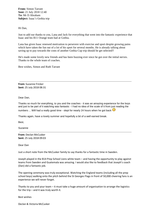**From:** Simon Tarrant **Sent:** 21 July 2018 12:40 **To:** Mr D Abraham **Subject:** Isaac's Gothia trip

Hi Dan,

Just to add our thanks to you, Lana and Jack for everything that went into the fantastic experience that Isaac and his B11 Orange team had at Gothia.

Lana has given Isaac renewed motivation to persevere with exercise and sport despite growing pains which have taken the fun out of a lot of his sport for several months. He is already talking about saving up to pay towards the costs of another Gothia Cup trip should he get selected!!

He's made some lovely new friends and has been buzzing ever since he got over the initial nerves. Thanks to the whole team of coaches.

Best wishes, Simon and Ruth Tarrant

**From:** Suzanne Fricker **Sent:** 25 July 2018 08:31

Dear Dan,

Thanks so much for everything, to you and the coaches - it was an amazing experience for the boys and just to be part of it watching was fantastic - I had no idea of the scale of it from just reading the numbers ... Will had a really good time - slept for nearly 24 hours when he got back

Thanks again, have a lovely summer and hopefully a bit of a well earned break.

Best,

Suzanne

**From:** Declan McCusker **Sent:** 25 July 2018 09:03

Dear Dan

Just a short note from the McCusker family to say thanks for a fantastic time in Sweden.

Joseph played in the B14 Prep School Lions white team – and having the opportunity to play against teams from Sweden and Guatemala was amazing. I would also like to feedback that Joseph's coach (Dan) did a fantastic job.

The opening ceremony was truly exceptional. Watching the England teams (including all the prep school boys) walking onto the pitch behind the St Georges Flags in front of 50,000 cheering fans is an experience we will never forget.

Thanks to you and your team – it must take a huge amount of organisation to arrange the logistics for the trip – and it was truly worth it.

Best wishes

Declan & Victoria McCusker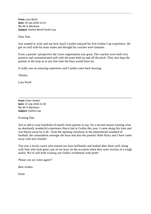**From:** Lara Ward **Sent:** 24 July 2018 13:31 **To:** Mr D Abraham **Subject:** Gothia World Youth Cup

Dear Dan,

Just wanted to write and say how much Cayden enjoyed his first Gothia Cup experience. He got on well with his team mates and thought his coaches were fantastic.

From a parents' perspective the Lions organisation was great. The coaches were both very positive and communicated well with the team both on and off the pitch. They also kept the parents in the loop as to any free time the boys would have etc.

It really was an amazing experience and Cayden came back buzzing.

Thanks,

Lara Ward

**From:** Emer Hoskin **Sent:** 23 July 2018 21:39 **To:** Mr D Abraham **Subject:** Gothia Cup

Evening Dan

Just to add to your hundreds of emails from parents to say, for a second season running what an absolutely wonderful experience Harry had at Gothia this year. I came along this time and was blown away by it all - from the opening ceremony to the phenomenal standard of football, the camaraderie amongst the boys and also the parents! Both Harry and I have come away with new friends!

Tim was a lovely coach who trained our boys brilliantly and looked after them well, along with Sam who took great care of our boys on the occasion when they were victims of a rough tackle. We're still both wearing our Gothia wristbands with pride!

Please can we come again?!

Best wishes

Emer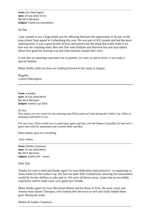**From:** Lou Etherington **Sent:** 24 July 2018 10:10 **To:** Mr D Abraham **Subject:** Thank you and photos

## Hi Dan

I just wanted to say a huge thank you for allowing Harrison the opportunity to be part of the prep school lions squad in Gothenburg this year. He was part of B12 purple and had the most amazing time, it was a great bunch of boys and parents but the thing that really made it for him was the coaching team, Ben and Dan were brilliant and Harrison has non stop talked about how good the training was and what fantastic people they were.

It was also an amazing experience for us parents, we were so sad to leave, it was truly a special holiday.

Many thanks, both my boys are looking forward to the camp in August.

Regards Louise Etherington

**From:** A.arbibe **Sent:** 24 July 2018 08:54 **To:** Mr D Abraham **Subject:** Gothia Cup 2018

### Hi Dan

First thank you very much for the amazing time Elliot (and we!) had during the Gothia Cup. What an amazing experience it was.

For next year, Elliot would love to participate again and stay with the Pumas if possible, he had such a great time with his teammates and coaches Mike and Ben.

Many thanks again for everything.

Alain Arbibe

**From:** Matteo Canonaco **Sent:** 24 July 2018 08:41 **To:** Mr D Abraham **Subject:** Gothia WC - James

Dear Dan

Thanks for your e-mail and thanks again for your dedication (and patience!) in organising so many teams for the Gothia Cup. We had not quite fully realised how amazing this tournament would be for the children to take part in. We were all blown away, James had an incredible experience and he made some very good new friends.

Many thanks again for your Herculean efforts and for those of Tom, the team coach and Antony team Sports Therapist, who looked after the boys so well and really helped them grow during the week.

Matteo & Sophia Canonaco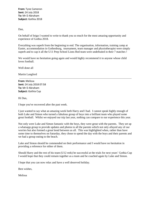**From:** Tyne Cameron **Sent:** 24 July 2018 **To:** Mr D Abraham **Subject:** Gothia 2018

Dan,

On behalf of Inigo I wanted to write to thank you so much for the most amazing opportunity and experience of Gothia 2018.

Everything was superb from the beginning to end. The organisation, information, training camp at Easter, accommodation in Gothenburg, tournament, team manager and physiotherapist were simply superb and to cap it all the U11 Prep School Lions Red team were undefeated in their 7 matches !

We would have no hesitation going again and would highly recommend it to anyone whose child loves football.

Well done all

Martin Langford

**From:** Melissa **Sent:** 24 July 2018 07:58 **To:** Mr D Abraham **Subject:** Gothia Cup

Hi Dan,

I hope you've recovered after the past week.

I just wanted to say what an amazing week both Harry and I had. I cannot speak highly enough of both Luke and Simon who turned a fabulous group of boys into a brilliant team who played some great football. Whilst we enjoyed our trip last year, nothing can compare to our experience this year.

Not only were Luke and Simon fantastic with the boys, they were great with the parents. They set up a whatsapp group to provide updates and photos to all the parents which not only allayed any of our worries but also formed a great bond between us all. This was highlighted when, rather than have some time to themselves on Saturday, they chose to spend the day with the boys and their parents and we had a group outing to the beach.

Luke and Simon should be commended on their performance and I would have no hesitation in providing a reference for either of them.

Should Harry and the rest of his team (U12 reds) be successful at the trials for next years' Gothia Cup I would hope that they could remain together as a team and be coached again by Luke and Simon.

I hope that you can now relax and have a well deserved holiday.

Best wishes,

Melissa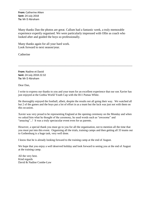**From:** Catherine Aiken **Sent:** 24 July 2018 **To:** Mr D Abraham

Many thanks Dan the photos are great. Callum had a fantastic week, a truly memorable experience expertly organised. We were particularly impressed with Ollie as coach who looked after and guided the boys so professionally.

Many thanks again for all your hard work. Look forward to next season/year.

Catherine

**From:** Nadine et David **Sent:** 24 July 2018 22:32 **To:** Mr D Abraham

Dear Dan,

I write to express our thanks to you and your team for an excellent experience that our son Xavier has just enjoyed at the Gothia World Youth Cup with the B11 Pumas White.

\_\_\_\_\_\_\_\_\_\_\_\_\_\_\_\_\_\_\_\_\_\_\_\_\_\_\_\_\_\_\_\_\_\_\_\_\_\_\_\_\_\_\_\_\_\_\_\_\_\_\_\_\_\_\_\_\_\_\_\_\_\_\_\_\_\_\_\_\_\_\_\_\_\_\_

He thoroughly enjoyed the football, albeit, despite the results not all going their way. We watched all but 2 of the games and the boys put a lot of effort in as a team but the luck was just not with them on this occasion.

Xavier was very proud to be representing England at the opening ceremony on the Monday and when we asked him what he thought of the ceremony, he used words such as "awesome" and "amazing"...! It was a truly spectacular event even for us parents.

However, a special thank you must go to you for all the organisation, not to mention all the time that you must put into this event. Organising all the trials, training camps and then getting all 33 teams out to Gothenburg is a huge task, very well done.

I know that he is already looking forward to the training camp at the end of August.

We hope that you enjoy a well deserved holiday and look forward to seeing you at the end of August at the training camp.

All the very best. Kind regards David & Nadine Combe-Law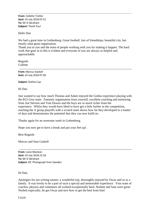**From:** Collette Trotter **Sent:** 24 July 2018 07:31 **To:** Mr D Abraham **Subject:** Thank You!

Hello Dan

We had a great time in Gothenburg. Great football, lots of friendships, beautiful city, but mostly what great organisation.

Thank you to you and the team of people working with you for making it happen. The hard work that goes in to this is evident and everyone of you are always so helpful and approachable.

Regards Collette

**From:** Marcus Gaskell **Sent:** 24 July 2018 07:30

**Subject:** Gothia Cup

Hi Dan

Just wanted to say how much Thomas and Adam enjoyed the Gothia experience playing with the B12 Grey team. Fantastic organisation from yourself, excellent coaching and mentoring from Ant Stevens and Tom Downs and the boys are so much richer from the experience. Whilst they would have liked to have got a little further in the competition, reaching the A group playoffs with a scratch team shows how far they developed in a matter of days and demonstrates the potential that they can now build on.

Thanks again for an awesome week in Gothenburg.

Hope you now get to have a break and put your feet up!.

Best Regards

Marcus and Sian Gaskell

**From:** Lizzie Maclean **Sent:** 24 July 2018 22:18 **To:** Mr D Abraham **Subject:** RE: Photograph from Sweden

Hi Dan,

Apologies for not writing sooner; a wonderful trip, thoroughly enjoyed by Oscar and us as a family. It was lovely to be a part of such a special and memorable experience. Your team of coaches, physios and volunteers all worked exceptionally hard. Norbett and Sam were great-Norbett especially, he got Oscar and new how to get the best from him!

Lizzie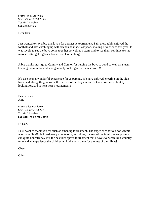**From:** Aina Suterwalla **Sent:** 23 July 2018 23:46 **To:** Mr D Abraham **Subject:** Gothia

Dear Dan,

Just wanted to say a big thank you for a fantastic tournament. Zain thoroughly enjoyed the football and also catching up with friends he made last year / making new friends this year. It was lovely to see the boys come together so well as a team, and to see them continue to stay in touch after getting back home from Gothenburg!

A big thanks must go to Cammy and Connor for helping the boys to bond so well as a team, keeping them motivated, and generally looking after them so well !!

It's also been a wonderful experience for us parents. We have enjoyed cheering on the side lines, and also getting to know the parents of the boys in Zain's team. We are definitely looking forward to next year's tournament !

Best wishes Aina

**From:** Giles Henderson **Sent:** 23 July 2018 22:51 **To:** Mr D Abraham **Subject:** Thanks for Gothia

Hi Dan,

I just want to thank you for such an amazing tournament. The experience for our son Archie was incredible!! He loved every minute of it, as did we, the rest of the family as supporters. I can quite honestly say it is the best kids sports tournament that I have ever seen, by a country mile and an experience the children will take with them for the rest of their lives!

Cheers

Giles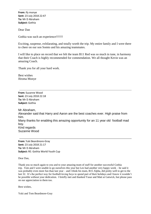**From:** ify monye **Sent:** 23 July 2018 22:47 **To:** Mr D Abraham **Subject:** Gothia

Dear Dan

Gothia was such an experience!!!!!!!!

Exciting, suspense, exhilarating, and totally worth the trip. My entire family and I were there to cheer on our son Somto and his amazing teammates.

I will like to place on record that we felt the team B11 Red was so much in tune, in harmony that their Coach is highly recommended for commendation. We all thought Kevin was an amazing Coach.

Thank you for all your hard work.

Best wishes Ifeoma Monye

**From:** Suzanne Wood **Sent:** 23 July 2018 22:18 **To:** Mr D Abraham **Subject:** Gothia

Mr Abraham, Alexander said that Harry and Aaron are the best coaches ever. High praise from him. Many thanks for enabling this amazing opportunity for an 11 year old football mad boy. Kind regards Suzanne Wood

**From:** Yuki Beardmore-Gray **Sent:** 23 July 2018 21:17 **To:** Mr D Abraham **Subject:** RE: Gothia World Youth Cup

Dear Dan,

Thank you so much again to you and to your amazing team of staff for another successful Gothia trip. Tom and I were unable to go ourselves this year but Leo had another very happy week – he said it was probably even more fun than last year – and I think his team, B15 Alpha, did pretty well to get to the last 32. It's the perfect way for football-loving boys to spend part of their holidays and I know it wouldn't be possible without your dedication. I briefly met and thanked Yasar and Matt at Gatwick, but please pass on our appreciation to them too.

Best wishes,

Yuki and Tom Beardmore-Gray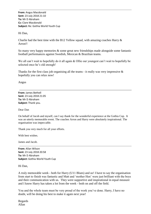**From:** Angus Macdonald **Sent:** 23 July 2018 21:10 **To:** Mr D Abraham **Cc:** Clare Macdonald **Subject:** Re: Gothia World Youth Cup

Hi Dan,

Charlie had the best time with the B12 Yellow squad, with amazing coaches Harry  $\&$ Arron!!

So many very happy memories & some great new friendships made alongside some fantastic football performances against Swedish, Mexican & Brazilian teams.

We all can't wait to hopefully do it all again & Ollie our youngest can't wait to hopefully be selected once he's old enough!

Thanks for the first class job organising all the teams - it really was very impressive  $\&$ hopefully you can relax now!

Angus

**From:** James Bethell **Sent:** 23 July 2018 21:05 **To:** Mr D Abraham **Subject:** Thank you.

Dear Dan

On behalf of Jacob and myself, can I say thank for the wonderful experience at the Gothia Cup. It was an utterly memorable event. The coaches Arron and Harry were absolutely inspirational. The organisation was impeccable.

Thank you very much for all your efforts.

With best wishes.

James and Jacob.

**From:** Allan Wilson **Sent:** 23 July 2018 20:58 **To:** Mr D Abraham **Subject:** Gothia World Youth Cup

Hi Dan,

A truly memorable week - both for Harry (U11 Blues) and us! I have to say the organisation from start to finish was fantastic and Matt and 'mother Hen' were just brilliant with the boys and their communication with us. They were supportive and inspirational in equal measure and I know Harry has taken a lot from the week - both on and off the field.

You and the whole team must be very proud of the work you've done. Harry, I have no doubt, will be doing his best to make it again next year!

Regards Allan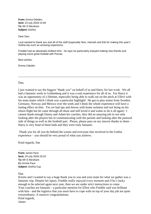**From:** Emma Oakden **Sent:** 23 July 2018 13:44 **To:** Mr D Abraham **Subject:** Gothia

Dear Dan,

I just wanted to thank you and all of the staff (especially Nick, Hannah and Ed) for making this year's Gothia trip such an amazing experience.

\_\_\_\_\_\_\_\_\_\_\_\_\_\_\_\_\_\_\_\_\_\_\_\_\_\_\_\_\_\_\_\_\_\_\_\_\_\_\_\_\_\_\_\_\_\_\_\_\_\_\_\_\_\_\_\_\_\_\_\_\_\_\_\_\_\_\_\_\_\_\_\_\_\_

Freddie had an absolutely brilliant time - he says he particularly enjoyed making new friends and playing some great football with Pumas.

Best wishes,

Emma Oakden

### Dan.

I just wanted to say the biggest "thank you" on behalf of us and Harry for last week. We all had a fantastic week in Gothenburg and it was a real experience for all of us. For Harry it was an opportunity of a lifetime, especially being able to walk out on the pitch at Ullevi with his team mates which I think was a particular highlight! He got to play teams from Sweden, Germany, Norway and Mexico over the week and I think the whole experience will have a lasting effect on him. Yes we had ups and downs with home sickness and not being on his return flight but he came through all those and still loved it and wants to do it all again! I cannot thank enough Danny and Adam his coaches, they did an amazing job in not only looking after the players but in communicating with the parents and looking after the pastoral side of things as well as the football part. Please, please pass on my sincere thanks to them – Harry is very fond of them both and they were truly fantastic.

Thank you for all you do behind the scenes and everyone else involved in the Gothia experience – you should be very proud of what you achieve.

Kind regards, Sue

**From:** James Pace **Sent:** 24 July 2018 19:24 **To:** Mr D Abraham **Cc:** Kirstie Pace **Subject:** Gothia Cup

Dan

Kirstie and I wanted to say a huge thank you to you and your team for what we gather was a fantastic trip. Despite his injury, Freddie really enjoyed every moment and if he's lucky enough to be selected again next year, then we are under strict instructions to come. Your coaches are fantastic - a particular mention for Elliot who Freddie said was brilliant with him - and the logistics that you must have to cope with on top of your day job are quite extraordinary. A massive congratulations. Kind regards, James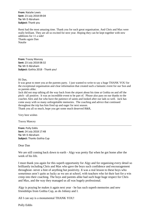**From:** Natalie Lewis **Sent:** 23 July 2018 09:04 **To:** Mr D Abraham **Subject:** Thank you

Remi had the most amazing time. Thank you for such great organisation. And Chris and Max were really brilliant. They are all so excited for next year. Hoping they can be kept together with new additions for 11 a side! Thanks again Dan Natalie

**From:** Tracey Mancey **Sent:** 23 July 2018 08:32 **To:** Mr D Abraham **Subject:** Gothia 2018 - Thank you!

Hi Dan,

It was great to meet you at the parents party. I just wanted to write to say a huge THANK YOU for the exceptional organisation and clear information that created such a fantastic event for our Son and us parents alike.

Jack did not stop talking all the way back from the airport about his time at Gothia on and off the pitch - all positive. It was an incredible event to be part of. Please also pass on our thanks to the coaches Alex and Joe who have the patience of saints and looked after our lads so well. Jack has come away with so many unforgettable memories. The coaching and advice that continued throughout the trip has him fired up and eager for next season.

Thank you all so much, hope you get some much deserved R&R,

Very best wishes

Tracey Mancey

**From:** Polly Eddis **Sent:** 24 July 2018 17:48 **To:** Mr D Abraham **Subject:** Thanks Gothia Cup

Dear Dan

We are still coming back down to earth - Algy was pretty flat when he got home after the week of his life.

I must thank you again for this superb opportunity for Algy and for organising every detail so brilliantly including Chris and Max who gave the boys such confidence and encouragement throughout- never a hint of anything but positivity. It was a real lesson to these boys who sometimes aren't quite as lucky as we are at school, with teachers who let their lust for a win creep into their coaching. The boys and parents alike had such huge huge respect for Chris and Max, and the way they managed us all was hugely professional.

Algy is praying he makes it again next year - he has such superb memories and new friendships from Gothia Cup, as do Johnny and I.

All I can say is a monumental THANK YOU!

Polly Eddis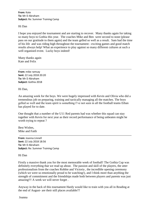**From:** Kate **To:** Mr D Abraham **Subject:** Re: Summer Training Camp

Hi Dan

I hope you enjoyed the tournament and are starting to recover. Many thanks again for taking so many boys to Gothia this year. The coaches Mike and Ben were second to none (please pass on our gratitude to them again) and the team gelled so well as a result. Sam had the time of his life and was riding high throughout the tournament - exciting games and good match results always help! What an experience to play against so many different cultures at such a well organised event. Lucky boys indeed!

Many thanks again Kate and Felix

**From:** mike ramsay **Sent:** 22 July 2018 20:20 **To:** Mr D Abraham **Subject:** Gothia 2018

Hi Dan,

An amazing week for the boys. We were hugely impressed with Kevin and Olivia who did a tremendous job on preparing, training and tactically managing all the matches. The boys gelled so well and the team spirit is something I've not seen in all the football teams Ethan has played for to date.

One thought that a number of the U11 Red parents had was whether this squad can stay together with Kevin for next year as their record performance of being unbeaten might be worth trying to repeat ?

Best Wishes, Mike and Faith

**From:** Joanna Linnell **Sent:** 22 July 2018 18:56 **To:** Mr D Abraham **Subject:** Re: Summer Training Camp

Hi Dan

Firstly a massive thank you for the most memorable week of football! The Gothia Cup was definitely everything that we read up about. The passion and skill of the players, the utter professionalism from the coaches Robbie and Victoria , the incredible opening ceremony (which we were so emotionally proud to be watching!), and I think more than anything the strength of commitment and the friendships made both between players and parents was just amazing!!! A week we will never forget .

Anyway in the back of this tournament Hardy would like to train with you all in Reading at the end of August- are their still places available??

Joanna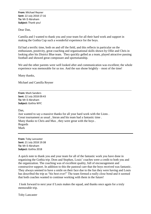**From:** Michael Reyner **Sent:** 22 July 2018 17:16 **To:** Mr D Abraham **Subject:** Thank you!

Dear Dan,

Camilla and I wanted to thank you and your team for all their hard work and support in making the Gothia Cup such a wonderful experience for the boys.

Ed had a terrific time, both on and off the field, and this reflects in particular on the enthusiasm, positivity, great coaching and organisational skills shown by Ollie and Chris in looking after his District Blue team. They quickly gelled as a team, played attractive passing football and showed great composure and sportsmanship.

We and the other parents were well looked after and communication was excellent; the whole experience was memorable for us too. And the sun shone brightly – most of the time!

Many thanks,

Michael and Camilla Reyner

**From:** Mark Sanders **Sent:** 22 July 2018 09:43 **To:** Mr D Abraham **Subject:** Gothia WYC

Dan.

Just wanted to say a massive thanks for all your hard work with the Lions . Great tournament as usual , Imran and his team had a fantastic time . Many thanks to Chris and Max , they were great with the boys . Regards Mark

**From:** Toby Lancaster **Sent:** 21 July 2018 19:38 **To:** Mr D Abraham **Subject:** Gothia 2018

A quick note to thank you and your team for all of the fantastic work you have done in organizing the Gothia trip. Dom and Stephen, Louis' coaches were a credit to both you and the organization. The coaching was of excellent quality, full of encouragement and constructive support. In addition to this the pastoral care that the boys received was fantastic. They always seemed to have a smile on their face due to the fun they were having and Louis has described the trip as "his best ever!" The team formed a really close bond and it seemed that both coaches wanted to continue working with them in the future!

I look forward to next year if Louis makes the squad, and thanks once again for a truly memorable trip.

Toby Lancaster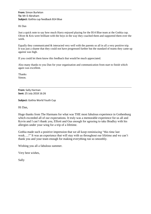# Hi Dan

Just a quick note to say how much Harry enjoyed playing for the B14 Blue team at the Gothia cup. Oliver & Kris were brilliant with the boys in the way they coached them and supported them over the week.

Equally they communicated  $\&$  interacted very well with the parents so all in all a very positive trip. It was just a shame that they could not have progressed further but the standard of teams they came up against was high.

If you could let them know this feedback that would be much appreciated.

Also many thanks to you Dan for your organisation and communication from start to finish which again was excellent.

Thanks Simon.

**From:** Sally Harman **Sent:** 25 July 2018 16:26

**Subject:** Gothia World Youth Cup

Hi Dan,

Huge thanks from The Harmans for what was THE most fabulous experience in Gothenburg which exceeded all of our expectations. It truly was a memorable experience for us all and Kevin and I can't thank you, Elliott and Gus enough for agreeing to take Bradley with his allergies under your wing for a trip of a lifetime.

Gothia made such a positive impression that we all keep reminiscing "this time last week.....!" It was an experience that will stay with us throughout our lifetime and we can't thank you and your team enough for making everything run so smoothly.

Wishing you all a fabulous summer.

Very best wishes,

Sally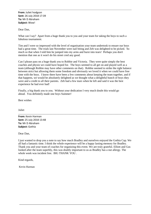**From:** Juliet hodgson **Sent:** 26 July 2018 17:39 **To:** Mr D Abraham **Subject:** Wow!

Dear Dan,

What can I say? Apart from a huge thank you to you and your team for taking the boys to such a fabulous tournament.

Tim and I were so impressed with the level of organisation your team undertook to ensure our boys had a great time. The trials last November were nail biting and Zeb was delighted to be picked. So much so that when I told him he jumped into my arms and burst into tears! Perhaps you don't mention that one as it won't do his street cred any good.

Can I please pass on a huge thank you to Robbie and Victoria. They were quite simply the best coaches and physio we could have hoped for. The boys seemed to all get on and played well as a team (although Robbie may have other comments on that). Robbie seemed to strike the right balance between strict but allowing them some freedom and obviously we loved it when we could have free time with the boys. I know there have been a few comments about keeping the team together, and if that happens, we would be absolutely delighted as we thought what a delightful bunch of boys they were and a credit to all their parents. Zeb had a few tears when he left and said it was the best experience he had ever had!

Finally, a big thank you to you. Without your dedication I very much doubt this would go ahead. You definitely made one boys Summer!

Best wishes

Juliet

**From:** Kevin Harman **Sent:** 25 July 2018 13:48 **To:** Mr D Abraham **Subject:** Gothia

Dear Dan,

I just wanted to drop you a note to say how much Bradley and ourselves enjoyed the Gothia Cup. We all had a fantastic time. I think the whole experience will be a happy lasting memory for Bradley. Thank you and your team of coaches for organizing this event. We are truly grateful. Elliott and Gus looked after the team superbly, this was doubly important to us as Bradley has a nut allergy. The whole week was incident free. BIG THANK YOU .

\_\_\_\_\_\_\_\_\_\_\_\_\_\_\_\_\_\_\_\_\_\_\_\_\_\_\_\_\_\_\_\_\_\_\_\_\_\_\_\_\_\_\_\_\_\_\_\_\_\_\_\_\_\_\_\_\_\_\_\_\_\_\_\_\_\_\_\_\_\_\_\_\_\_\_\_\_\_\_\_\_

Kind regards,

Kevin Harman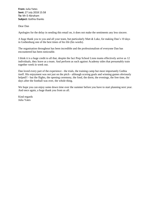**From:** Julia Yates **Sent:** 27 July 2018 15:58 **To:** Mr D Abraham **Subject:** Gothia thanks

## Dear Dan

Apologies for the delay in sending this email on, it does not make the sentiments any less sincere.

A huge thank you to you and all your team, but particularly Matt & Luke, for making Dan's 10 days in Gothenburg one of the best times of his life (his words).

The organisation throughout has been incredible and the professionalism of everyone Dan has encountered has been noticeable.

I think it is a huge credit to all that, despite the fact Prep School Lions teams effectively arrive as 12 individuals, they leave as a team. And perform as such against Academy sides that presumably train together week in week out.

Dan loved every part of the experience - the trials, the training camp but most importantly Gothia itself. His enjoyment was not just on the pitch - although scoring goals and winning games obviously helped!! - but the flights, the opening ceremony, the food, the dorm, the evenings, the free time, the days after the football was over, the whole thing.

We hope you can enjoy some down time over the summer before you have to start planning next year. And once again, a huge thank you from us all.

Kind regards Julia Yates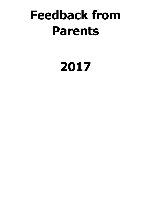# **Feedback from Parents**

# **2017**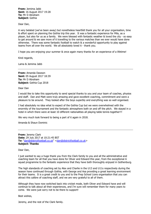**From:** Jemima Jabb **Sent:** 16 August 2017 19:28 **To:** Mr D Abraham **Subject:** Gothia

Dear Dan,

A very belated (we've been away) but nonetheless heartfelt thank you for all your organisation, time & effort spent on planning the Gothia trip this year. It was a fantastic experience for Mila, as a player, but also for us as a family. We were blessed with fantastic weather & loved the city - so easy to get around & we saw more of it travelling to the various matches than we ever would have done otherwise. There was some fantastic football to watch & a wonderful opportunity to play against teams from all over the world. We all absolutely loved it - thank you.

I hope you are enjoying your summer & once again many thanks for an experience of a lifetime!

Kind regards,

Lama & Jemima Jabb

**From:** Amanda Dawson **Sent:** 05 August 2017 18:39 **To:** Mr D Abraham **Subject:** Gothia Cup 2018

Dear Dan

I would like to take this opportunity to send special thanks to you and your team of coaches, physios and staff. Dan and Matt were truly amazing and gave excellent coaching, commitment and were a pleasure to be around. They looked after the boys superbly and everything was so well organised.

I had absolutely no idea what to expect of the Gothia Cup but we were overwhelmed with the enormity of the tournament and the fantastic atmosphere both on and off the pitch. We stayed in a hotel in which there were at least 10 different nationalities all playing table tennis together!!!

We very much look forward to being a part of it again in 2018.

Amanda & Shaun Dominic

**From:** Jeremy Clark **Date:** 29 July 2017 at 10:21:45 BST **To:** ["dan@districtfootball.co.uk"](https://webmail.kesw.org/owa/redir.aspx?C=HInzk4Xy1EhS4wl0HI-CCo7eBx0jE4lIES547rJ9ApF4vNK5q9nUCA..&URL=mailto%3adan%40districtfootball.co.uk) [<dan@districtfootball.co.uk>](https://webmail.kesw.org/owa/redir.aspx?C=HInzk4Xy1EhS4wl0HI-CCo7eBx0jE4lIES547rJ9ApF4vNK5q9nUCA..&URL=mailto%3adan%40districtfootball.co.uk) **Subject: Thanks**

Dear Dan,

I just wanted to say a huge thank you from the Clark family to you and all the administrative and coaching team for all that you have done for Oliver and Edward this year, from the exceptional A squad programme to the fantastic experience that they have both thoroughly enjoyed in Gothenburg.

The high standards of coaching set by Alex and Charlie in the U13 and U11s respectively during the season have continued through Gothia, with George and Asa providing a great learning environment for their teams. It is a great credit to you and to the Prep School Lions organisation that you can attract this calibre of coaching staff, and we are very grateful to all of them.

Although they have now switched back into cricket mode, both Oliver and Edward have and will continue to talk about all their experiences, and I'm sure will remember them for many years to come. We were just sorry not to be there to support!

Best wishes,

Jeremy, and the rest of the Clark family.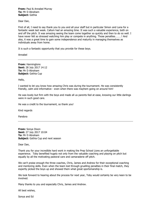### **From:** Paul & Annabel Murray **To:** Mr D Abraham **Subject:** Gothia

Dear Dan,

First of all, I need to say thank you to you and all your staff but in particular Simon and Lana for a fantastic week last week. Callum had an amazing time. It was such a valuable experience, both on and off the pitch. It was amazing seeing the team come together so quickly and then to do so well. I have never felt so stressed watching him play or compete in anything. Those penalties………! And also, it was a great time to gain some independence and maturity in managing themselves as individuals away from home.

It is such a fantastic opportunity that you provide for these boys.

Annabel

**From:** Hanningtons **Sent:** 28 July 2017 14:12 **To:** Mr D Abraham **Subject:** Gothia Cup

Hello,

I wanted to let you know how amazing Chris was during the tournament. He was consistently friendly, calm and informative - even when there was mayhem going on around him!

He was lovely but firm with the boys and made all us parents feel at ease, knowing our little darlings were in such good care.

He was a credit to the tournament, so thank you!

Kind regards

Pandora

**From:** Sonya Dixon **Sent:** 27 July 2017 10:04 **To:** Mr D Abraham **Subject:** Gothia Cup and next season

Dear Dan,

Thank you for your incredible hard work in making the Prep School Lions an unforgettable experience. Toby benefited hugely not only from the valuable coaching and playing on pitch but equally by all the motivating pastoral care and camaraderie off pitch.

We can't praise enough the three coaches, Chris, James and Andrew for their exceptional coaching and mentoring skills. Even when the team lost through gruelling penalties in their final match, they expertly picked the boys up and showed them what great sportsmanship is.

We look forward to hearing about the process for next year, Toby would certainly be very keen to be involved.

Many thanks to you and especially Chris, James and Andrew.

All best wishes,

Sonya and Ed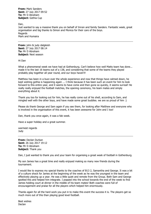**From:** Mark Sanders **Sent:** 27 July 2017 09:52 **To:** Mr D Abraham **Subject:** Gothia Cup

Dan,

Just wanted to say a massive thank you on behalf of Imran and family Sanders. Fantastic week, great organisation and big thanks to Simon and Monica for their care of the boys. **Regards** Mark and Humaira

**From:** john & judy dalgleish **Sent:** 27 July 2017 08:14 **To:** Mr D Abraham **Subject:** Next season

Hi Dan

What a phenomenal week we have had at Gothenburg. Can't believe how well Matts team has done... made it to the last 16 teams out of a 138, and considering that some of the teams they played probably play together all year round, and our boys haven't!

Matthew has been in a buzz over the whole experience and now that things have calmed down, he kept wishing gothia is happening again ... I think because it has been such an event for him to look forward to this entire year, and it seems to have come and then gone so quickly, it seems surreal! He really really enjoyed the football matches, the opening ceremony, his team mates and simply everything about it.

Thank you too for looking out for him, he has really come out of his shell, according to Sam, and mingled well with the other boys, and have made some great buddies. we are so proud of him :)

Please do thank George and Sam again if you see them, for looking after Matthew and everyone who is involved in the organisation of this event, it has been awesome for John and I too!

Dan, thank you once again, it was a fab week.

Have a super holiday and a great summer.

warmest regards Judy

**From:** Declan Durkan **Sent:** 26 July 2017 19:12 **To:** Mr D Abraham **Subject:** Thank you

Dan, I just wanted to thank you and your team for organising a great week of football in Gothenburg.

My son James has a great time and really enjoyed making so many new friends during the tournament.

I would like to express my special thanks to the coaches of B13 2, Samantha and George. It was a bit of a culture shock for James at the beginning of the week as he was the youngest in the team and effectively playing up a year. He was a little quiet and remote from the Group. Both Sam and George spotted this and helped him integrate. I popped into the school towards the end of the week to find James holding court at dinner in the middle of his team mates! Both coaches were full of encouragement and praise for all the players which helped him enormously.

Thanks again for all the hard work you put in to make this event the success it is. The players get so much more out of this than playing good level football.

Best wishes Declan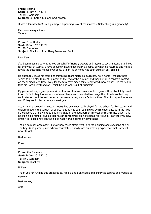**From:** Victoria **Sent:** 26 July 2017 17:48 **To:** Mr D Abraham **Subject:** Re: Gothia Cup and next season

It was a fantastic trip! I really enjoyed supporting Max at the matches. Gothenburg is a great city!

Max loved every minute. Victoria

**From:** Emer Hoskin **Sent:** 26 July 2017 17:29 **To:** Mr D Abraham **Subject:** Thank you from Harry Dewar and family!

### Dear Dan

I've been meaning to write to you on behalf of Harry ( Dewar) and myself to say a massive thank you for the week at Gothia. I have genuinely never seen Harry as happy as when he returned and he said it was the best thing he has ever done. I think life at home has been quite an anti-climax!

He absolutely loved his team and misses his team mates so much now he is home - though there seems to be a plan to meet up again at the end of the summer and they are all in constant contact on social media etc. How lovely for them to have made some really good, new friends. He refuses to take his Gothia wristband off - think he'll be wearing it all summer!

My parents (Harry's grandparents) went in my place as I was unable to go and they absolutely loved it too. In fact, they too made lots of new friends and they tried to change their tickets so that they could stay on until the end because they were having such a fantastic time. Their first question to me was if they could please go again next year!

So, all in all a resounding success. Harry has only ever really played for the school football team (and endless footie in the garden, of course) but he has been so inspired by his experience with the Prep School Lions that he wants to put his cricket on the back burner this year (he's a district player) and he's joining a football club so that he can concentrate on his football year-round. I can't tell you how great it is to see one's son feeling so happy and inspired by something!

Thanks so much once again, I know how much effort went in to the planning and executing of it all. The boys (and parents) are extremely grateful. It really was an amazing experience that Harry will never forget.

Best wishes

Emer

**From:** Alex Rahaman **Sent:** 26 July 2017 17:10 **To:** Mr D Abraham **Subject:** Thank you

Hi Dan,

Thank you for running this great set up. Amelia and I enjoyed it immensely as parents and Freddie as a player.

Best wishes,

Alex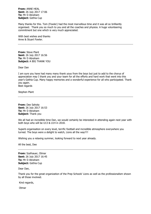**From:** ANNE HEAL **Sent:** 26 July 2017 17:06 **To:** Mr D Abraham **Subject:** Gothia Cup

Many thanks for this. Tom (Fowler) had the most marvellous time and it was all so brilliantly organised. Thank you so much to you and all the coaches and physios. A huge volunteering commitment but one which is very much appreciated.

With best wishes and thanks Anne & Stuart Fowler.

**From:** Steve Plant **Sent:** 26 July 2017 16:56 **To:** Mr D Abraham **Subject:** A BIG THANK YOU

Dear Dan

I am sure you have had many many thank yous from the boys but just to add to the chorus of appreciation may I thank you and your team for all the efforts and hard work that went into this year's Gothia Cup. Many happy memories and a wonderful experience for all who participated. Thank you again. Best regards

Stephen Plant

**From:** Dee Sahota **Sent:** 26 July 2017 16:53 **To:** Mr D Abraham **Subject:** Thank you

We all had an incredible time Dan, we would certainly be interested in attending again next year with both boys who will be U13 & U14 in 2018.

Superb organisation on every level, terrific football and incredible atmosphere everywhere you turned. The boys were a delight to watch, Lions all the way!!!!

Wishing you a relaxing summer, looking forward to next year already.

All the best, Dee

**From:** Szafnauer, Otmar **Sent:** 26 July 2017 16:45 **To:** Mr D Abraham **Subject:** Gothia Cup

Dear Dan,

Thank you for the great organization of the Prep Schools' Lions as well as the professionalism shown by all those involved.

Kind regards,

**Otmar**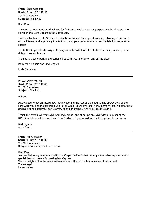**From:** Linda Carpenter **Sent:** 26 July 2017 16:44 **To:** Mr D Abraham **Subject:** Thank you

Dear Dan

I wanted to get in touch to thank you for facilitating such an amazing experience for Thomas, who played in the Lions 3 team in the Gothia Cup.

I was unable to come to Sweden personally but was on the edge of my seat, following the updates on the internet and app! Many thanks to you and your team for making such a fabulous experience happen!

The Gothia Cup is clearly unique- helping not only build football skills but also independence, social skills and so much more.

Thomas has come back and entertained us with great stories on and off the pitch!

Many thanks again and kind regards

Linda Carpenter

**From:** ANDY SOUTH **Sent:** 26 July 2017 16:43 **To:** Mr D Abraham **Subject:** Thank you

Hi Dan,

Just wanted to put on record how much Hugo and the rest of the South family appreciated all the hard work you and the coaches put into the week. It will live long in the memory (hearing other boys singing a song about your son is a very special moment … 'we've got Hugo South').

I think the boys in all teams did everybody proud, one of our parents did video a number of the B11(1) matches and they are hosted on YouTube, if you would like the links please let me know.

Best regards Andy South

**From:** Penny Walker **Sent:** 26 July 2017 16:37 **To:** Mr D Abraham **Subject:** Gothia Cup and next season

Dear Dan

Just wanted to say what a fantastic time Casper had in Gothia - a truly memorable experience and special thanks to Kevin for making him Captain. We are delighted that he was able to attend and that all the teams seemed to do so well Thanks again Penny Walker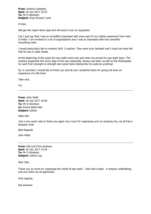**From:** Victoria Campling **Sent:** 26 July 2017 16:23 **To:** Mr D Abraham **Subject:** Prep Schools' Lions

Hi Dan,

Will get the report done asap and will send it over as requested.

Can I just say that I was so incredibly impressed with every part of our Gothia experience from start to finish. I am involved in a lot of organisations and I was so impressed with how smoothly everything went.

I would particularly like to mention Sol's 3 coaches. They were truly fantastic and I could not have felt that he was in safer hands.

At the beginning of the week Sol was really home sick and when we arrived he was quite teary. The coaches supported him every step of the way (especially James) and after we left on the Wednesday he went from strength to strength and came home feeling like he could do anything!

So, in summary I would like to thank you and all your wonderful team for giving the boys an experience of a life time!

Take care,

Tor

**From:** John Wells **Sent:** 26 July 2017 16:09 **To:** Mr D Abraham **Cc:** Emma Wells Mob **Subject:** Gothia

Hello Dan

Just a very quick note to thank you again very much for organising such an amazing trip, we all had a fantastic time!

Best Regards

John Wells

**From:** Kiki and Chris Andrews **Sent:** 26 July 2017 15:54 **To:** Mr D Abraham **Subject:** Gothia Cup

Dear Dan,

Thank you so much for organising the whole of last week - Toby had a blast. A massive undertaking and one which we all appreciate.

Kind regards,

Kiki Andrews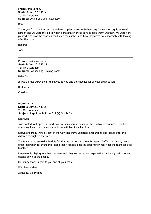**From:** John Gaffney **Sent:** 26 July 2017 15:53 **To:** Mr D Abraham **Subject:** Gothia Cup and next season

Dan

Thank you for organising such a well-run trip last week in Gothenburg, James thoroughly enjoyed himself and we were thrilled to watch 5 matches in three days in good warm weather. We were very pleased with how the coaches conducted themselves and how they acted so responsibly with looking after the boys.

Regards

John

**From:** cressida robinson **Sent:** 26 July 2017 15:21 **To:** Mr D Abraham **Subject:** Goalkeeping Training Camp

Hello Dan

It was a great experience - thank you to you and the coaches for all your organisation.

Best wishes

Cressida

**From:** James **Sent:** 26 July 2017 11:28 **To:** Mr D Abraham **Subject:** Prep Schools' Lions B12 (4) Gothia Cup

Dear Dan,

Just wanted to drop you a short note to thank you so much for the 'Gothia' experience. Freddie absolutely loved it and am sure will stay with him for a life-time.

Daffyd and Molly were brilliant in the way that they supported, encouraged and looked after the children throughout the week.

The team gelled so well – Freddie felt that he had known them for years. Daffyd particularly was a great inspiration for them and I hope that if Freddie gets the opportunity next year the team can stick together.

Despite only playing together that weekend, they surpassed our expectations, winning their pool and getting down to the final 32.

Our many thanks again to you and all your team

With best wishes

James & Julie Phillips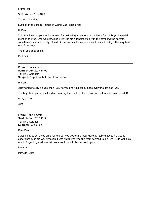From: Paul

Sent: 26 July 2017 10:30

To: Mr D Abraham

Subject: Prep Schools' Pumas at Gothia Cup, Thank you

Hi Dan,

I big thank you to your and you team for delivering an amazing experience for the boys. A special mention to Mike, who was coaching Brett. He did a fantastic job with the boys and the parents, sometimes under extremely difficult circumstances. He was very level headed and got the very best out of the boys.

Thank you once again.

Paul Smith

**From:** John Matheson **Sent:** 24 July 2017 14:00 **To:** Mr D Abraham **Subject:** Prep Schools' Lions at Gothia Cup

Hi Dan

Just wanted to say a huge 'thank you' to you and your team, hope everyone got back Ok.

The boys (and parents) all had an amazing time and the Pumas win was a fantastic way to end it!

Many thanks

John

**From:** Michelle Scott **Sent:** 24 July 2017 12:58 **To:** Mr D Abraham **Subject:** Gothia Cup

Dear Dan,

I was going to send you an email too but you got to me first! Nicholas really enjoyed his Gothia experience & so did we. Although it was Nicks first time the team seemed to 'gel' well & do well as a result. Regarding next year Nicholas would love to be involved again.

Regards

Michelle Scott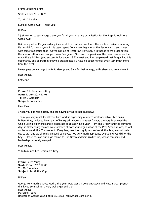From: Catherine Brant

Sent: 24 July 2017 08:26

To: Mr D Abraham

Subject: Gothia Cup - Thank you!!!

Hi Dan,

I just wanted to say a huge thank you for all your amazing organisation for the Prep School Lions Gothia Cup.

Neither myself or Fergus had any idea what to expect and we found the whole experience amazing. Fergus didn't know anyone in his team, apart from when they met at the Easter camp, and it was with some trepidation that I waved him off at Heathrow! However, it is thanks to the organisation, the spot-on attitude and support from George and Sam and the passion of the boys themselves that made this a brilliant (and successful for under 13 B2) week and I am so pleased that Fergus had this opportunity and apart from enjoying great football, I have no doubt he took away very much more from the week.

Please pass on my huge thanks to George and Sam for their energy, enthusiasm and commitment.

Best wishes,

**Catherine** 

**From:** Yuki Beardmore-Gray **Sent:** 23 July 2017 22:01 **To:** Mr D Abraham **Subject:** Gothia Cup

Dear Dan,

I hope you got home safely and are having a well-earned rest now!

Thank you very much for all your hard work in organising a superb week at Gothia. Leo has a brilliant time; he loved being part of his squad, made some great friends, thoroughly enjoyed the whole Gothia experience and is desperate to go again next year. Tom and I really enjoyed our three days in Gothenburg too and were amazed at both your organisation of the Prep Schools Lions, as well as the whole Gothia Tournament. Everything was thoroughly impressive, Gothenburg was a lovely city to visit and we all really enjoyed ourselves. We very much appreciate everything you did for the boys. Please pass on our huge thanks to Tim Green and Sam Walker too, whose company and leadership Leo really enjoyed.

Best wishes,

Yuki,Tom and Leo Beardmore-Gray

**From:** Gerry Young **Sent:** 23 July 2017 22:00 **To:** Mr D Abraham **Subject:** Re: Gothia Cup

Hi Dan

George very much enjoyed Gothia this year. Pete was an excellent coach and Matt a great physiothank you so much for a very well organised trip. Best wishes Marianne Young (mother of George Young born 15/12/03 Prep School Lions B14 (1))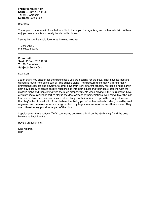**From:** francesca Nash **Sent:** 23 July 2017 19:36 **To:** Mr D Abraham **Subject:** Gothia Cup

Dear Dan,

Thank you for your email. I wanted to write to thank you for organising such a fantastic trip. William enjoyed every minute and really bonded with his team.

I am quite sure he would love to be involved next year.

Thanks again. Francesca Speake

**From:** beth **Sent:** 23 July 2017 18:37 **To:** Mr D Abraham **Subject:** Gothia Cup

Dear Dan,

I can't thank you enough for the experience's you are opening for the boys. They have learned and gained so much from being part of Prep Schools Lions. The exposure to so many different highly professional coaches and physio's, to other boys from very different schools, has been a huge part in both boy's ability to create positive relationships with both adults and their peers. Dealing with the massive highs and then coping with the huge disappointments when playing in the tournament, have certainly had a significant part to play in the development of their emotional well-being. Over the last four years I have seen an enormous positive change in their ability to cope with varying situations that they've had to deal with. I truly believe that being part of such a well-established, incredibly well organised and professional set up has given both my boys a real sense of self-worth and value. They are both extremely proud to be part of the Lions.

I apologise for the emotional 'fluffy' comments, but we're all still on the 'Gothia high' and the boys have come back buzzing.

Have a great summer,

Kind regards, Beth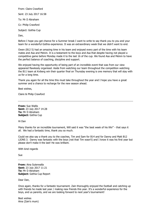From: Claire Crawford Sent: 23 July 2017 16:58 To: Mr D Abraham Cc: Philip Crawford Subject: Gothia Cup Dan,

Before I hope you get chance for a Summer break I want to write to say thank you to you and your team for a wonderful Gothia experience. It was an extraordinary week that we didn't want to end.

Owen (B12 5) had an amazing time in his team and enjoyed every part of the time with his team mates and Asa and Melvin. It is a testament to the boys and Asa that despite having not played a competitive game before Monday made it to the last 16 of the cup. We found Asa and Melvin to have the perfect balance of coaching, discipline and support.

We enjoyed having the opportunity of being part of an incredible event that was from our view appeared flawlessly organised. Aside from watching our team throughout the competition watching the B11 team at Kviberg win their quarter final on Thursday evening is one memory that will stay with us for a long time.

Thank you again for all the time this must take throughout the year and I hope you have a great summer and a chance to recharge for the new season ahead.

Best wishes,

Claire & Philip Crawford

**From:** Sue Wallis **Sent:** 23 July 2017 14:28 **To:** Mr D Abraham **Subject:** Gothia Cup

Hi Dan

Many thanks for an incredible tournament, Will said it was "the best week of his life!" - that says it all. We had a fantastic time, thank you so much.

Could we also say a thank you to the coaches, Tim and Sam for B14 and for Danny and Matt B12 LIONS 3. Danny was fantastic with the boys (not that Tim wasn't) and I know it was his first year but please don't make it the last! He was brilliant.

With kind regards

Sue

**From:** Aina Suterwalla **Sent:** 23 July 2017 11:21 **To:** Mr D Abraham **Subject:** Gothia Cup Report

Dear Dan,

Once again, thanks for a fantastic tournament. Zain thoroughly enjoyed the football and catching up with friends he made last year / making new friends this year. It's a wonderful experience for the boys, and us parents, and we are looking forward to next year's tournament!

Best wishes Aina (Zain's mum)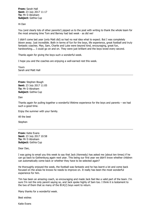**From:** Sarah Hall **Sent:** 23 July 2017 11:17 **To:** Mr D Abraham **Subject:** Gothia Cup

Hi Dan

You (and clearly lots of other parents!) pipped us to the post with writing to thank the whole team for the most amazing time Tom and Barney had last week - as did we!

I didn't come last year (only Matt did) so had no real idea what to expect. But I was completely blown away. Just incredible. Both in terms of fun for the boys, life experience, great football and truly fantastic coaches. Max, Sam, Charlie and Luke were beyond kind, encouraging, great fun, hardworking.... I could go on and on. They were just brilliant and the boys loved every second.

Thanks again for giving the boys such a wonderful week.

I hope you and the coaches are enjoying a well-earned rest this week.

Yours Sarah and Matt Hall

**From:** Stephen Bough **Sent:** 23 July 2017 11:05 **To:** Mr D Abraham **Subject:** Gothia Cup

Dan

Thanks again for pulling together a wonderful lifetime experience for the boys and parents – we had such a good time.

Enjoy the summer with your family.

All the best

**Stephen** 

**From:** Katie Evans **Sent:** 23 July 2017 10:58 **To:** Mr D Abraham **Subject:** Gothia Cup

Dear Dan,

I was going to email you this week to say that Jack (Kennedy) has asked me (about ten times) if he can go back to Gothenburg again next year. This being our first year we didn't know whether children can automatically come back or whether they have to be selected again?

He thoroughly enjoyed the week, the football was fantastic and he has learnt a lot and come back focused on the areas he knows he needs to improve on. It really has been the most wonderful experience for him.

Tim has been an amazing coach, so encouraging and made Jack feel like a valid part of the team. I'm sure I'm not the only parent saying so, and Jack spoke highly of Sam too. I think it is testament to the two of them that so many of the B14(2) boys want to return.

Many thanks for a wonderful week.

Best wishes

Katie Evans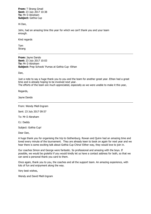**From:** T Strang Gmail **Sent:** 23 July 2017 10:38 **To:** Mr D Abraham **Subject:** Gothia Cup

Hi Dan,

John, had an amazing time this year for which we can't thank you and your team enough.

Kind regards

Tom Strang

**From:** Jayne Dando **Sent:** 23 July 2017 10:03 **To:** Mr D Abraham **Subject:** Prep Schools' Pumas at Gothia Cup -Ethan

Dan,

Just a note to say a huge thank you to you and the team for another great year. Ethan had a great time and is already hoping to be involved next year. The efforts of the team are much appreciated, especially as we were unable to make it this year,

Regards,

Jayne Dando

From: Wendy Miell-Ingram

Sent: 23 July 2017 09:57

To: Mr D Abraham

Cc: Daddy

Subject: Gothia Cup!

Dear Dan,

A huge thank you for organising the trip to Gothenburg. Rowan and Quinn had an amazing time and loved every minute of the tournament. They are already keen to book on again for next year and we hear there is some exciting talk about Gothia Cup China! Either way, they would love to join in.

Our coaches Simon and George were fantastic. So professional and amazing with the boys. If possible, we would be grateful if you would kindly let us have a contact address for both, so that we can send a personal thank you card to them.

Once again, thank you to you, the coaches and all the support team. An amazing experience, with lots of fun and enjoyment along the way.

Very best wishes,

Wendy and David Miell-Ingram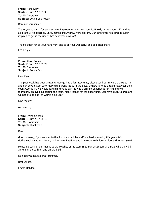**From:** Fiona Kelly **Sent:** 23 July 2017 09:39 **To:** Mr D Abraham **Subject:** Gothia Cup Report

Dan, are you home?

Thank you so much for such an amazing experience for our son Scott Kelly in the under 12's and us as a family! His coaches, Chris, James and Andrew were brilliant. Our other little fella Brad is super inspired to get in the under 12's next year now too!

Thanks again for all your hard work and to all your wonderful and dedicated staff!

Fee Kelly x

**From:** Alison Pomeroy **Sent:** 23 July 2017 09:29 **To:** Mr D Abraham **Subject:** Gothia Cup

Dear Dan,

The past week has been amazing. George had a fantastic time, please send our sincere thanks to Tim and our physio, Sam who really did a grand job with the boys. If there is to be a team next year then count George in, we would love him to take part. It was a brilliant experience for him and we thoroughly enjoyed supporting the team. Many thanks for the opportunity you have given George and we hope to be back at Gothia next year.

Kind regards,

Ali Pomeroy

**From:** Emma Oakden **Sent:** 23 July 2017 08:13 **To:** Mr D Abraham **Subject:** Thank you!

Dan,

Good morning, I just wanted to thank you and all the staff involved in making this year's trip to Gothia such a success! Henry had an amazing time and is already really looking forward to next year!

Please do pass on our thanks to the coaches of his team (B12 Pumas 2) Sam and Max, who truly did a sterling job both on and off the field.

Do hope you have a great summer,

Best wishes,

Emma Oakden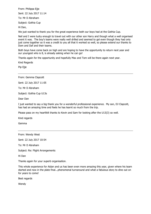From: Philippa Ejje Sent: 22 July 2017 11:14 To: Mr D Abraham Subject: Gothia Cup

Hi Dan,

We just wanted to thank you for the great experience both our boys had at the Gothia Cup.

Neil and I were lucky enough to travel out with our other son Harry and though what a well organised event it was. The boy's teams were really well drilled and seemed to gel even though they had only just come together so it was a credit to you all that it worked so well, so please extend our thanks to Dom and Daf and their teams.

Both boys have come back on high and are hoping to have the opportunity to return next year and our youngest who is 8, is already asking when he can go!

Thanks again for the opportunity and hopefully Max and Tom will be there again next year.

Kind Regards

Pip Ejje

From: Gemma Clapcott

Sent: 22 July 2017 11:05

To: Mr D Abraham

Subject: Gothia Cup U13s

Dear Dan

I just wanted to say a big thank you for a wonderful professional experience. My son, DJ Clapcott, has had an amazing time and feels he has learnt so much from the trip.

Please pass on my heartfelt thanks to Kevin and Sam for looking after the U13(3) so well.

Kind regards

Gemma

From: Wendy West

Sent: 22 July 2017 10:54

To: Mr D Abraham

Subject: Re: Flight Arrangements

Hi Dan

Thanks again for your superb organisation.

This whole experience for Aidan and us has been even more amazing this year, given where his team started and now in the plate final...phenomenal turnaround and what a fabulous story to dine out on for years to come!

Best regards

Wendy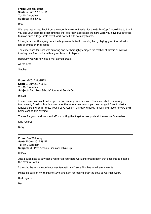**From:** Stephen Bough **Sent:** 22 July 2017 07:44 **To:** Mr D Abraham **Subject:** Thank you

Dan

We have just arrived back from a wonderful week in Sweden for the Gothia Cup. I would like to thank you and your team for organising the trip. We really appreciate the hard work you have put in to this to make such a large-scale event work so well with so many teams.

I thought across the age groups the boys were fantastic, working hard, playing great football with lots of smiles on their faces.

The experience for Tom was amazing and he thoroughly enjoyed his football at Gothia as well as forming new friendships with a great bunch of players.

Hopefully you will now get a well-earned break.

All the best

Stephen

**From:** NICOLA HUGHES **Sent:** 21 July 2017 06:58 **To:** Mr D Abraham **Subject:** Fwd: Prep Schools' Pumas at Gothia Cup

Hi Dan

I came home last night and stayed in Gothenburg from Sunday - Thursday, what an amazing tournament, I had such a fabulous time, the tournament was superb and so glad I went, what a fantastic experience for these young boys, Callum has really enjoyed himself and I look forward their home coming this evening

Thanks for your hard work and efforts putting this together alongside all the wonderful coaches

Kind regards

**Nicky** 

**From:** Ben Walmsley **Sent:** 20 July 2017 19:52 **To:** Mr D Abraham **Subject:** RE: Prep Schools' Lions at Gothia Cup

Hi Dan

Just a quick note to say thank you for all your hard work and organisation that goes into to getting the boys to Gothia.

I thought the whole experience was fantastic and I sure Finn has loved every minute.

Please do pass on my thanks to Kevin and Sam for looking after the boys so well this week.

Best regards

Ben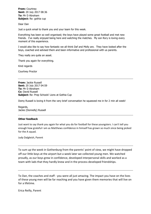**From:** Courtney **Sent:** 20 July 2017 08:36 **To:** Mr D Abraham **Subject:** Re: gothia cup

Dear Dan

Just a quick email to thank you and your team for this week.

Everything has been so well organised; the boys have played some great football and met new friends. I've really enjoyed being here and watching the matches. My son Rory is loving every moment of this experience.

I would also like to say how fantastic we all think Daf and Molly are. They have looked after the boys, coached and advised them and been informative and professional with us parents.

They really are quite an asset.

Thank you again for everything.

Kind regards

Courtney Proctor

**From:** Jackie Russell **Sent:** 20 July 2017 04:59 **To:** Mr D Abraham **Cc:** David Russell **Subject:** Re: Prep Schools' Lions at Gothia Cup

Domy Russell is loving it from the very brief conversation he squeezed me in for 2 min all week!

Regards, Jackie (Donnelly) Russell

### **Other feedback**

Just want to say thank you again for what you do for football for these youngsters. I can't tell you enough how grateful I am as Matthews confidence in himself has grown so much since being picked for the A squad.

Judy Dalgleish, Parent

To sum up the week in Gothenburg from the parents' point of view, we might have dropped off our little boys at the airport but a week later we collected young men. We watched proudly, as our boys grew in confidence, developed interpersonal skills and worked as a team with lads that they hardly knew and in the process developed friendships.

To Dan, the coaches and staff - you were all just amazing. The impact you have on the lives of these young men will be far reaching and you have given them memories that will live on for a lifetime.

Erica Reilly, Parent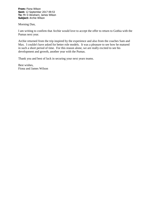**From:** Fiona Wilson **Sent:** 12 September 2017 09:53 **To:** Mr D Abraham; James Wilson **Subject:** Archie Wilson

Morning Dan,

I am writing to confirm that Archie would love to accept the offer to return to Gothia with the Pumas next year.

Archie returned from the trip inspired by the experience and also from the coaches Sam and Max. I couldn't have asked for better role models. It was a pleasure to see how he matured in such a short period of time. For this reason alone, we are really excited to see his development and growth, another year with the Pumas.

Thank you and best of luck in securing your next years teams.

Best wishes, Fiona and James Wilson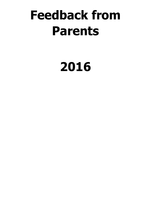# **Feedback from Parents**

# **2016**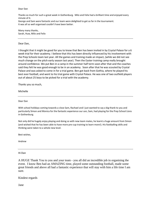Dear Dan

Thanks so much for such a great week in Gothenburg. Milo and Felix had a brilliant time and enjoyed every minute of it.

George and Sam were fantastic and our team were delighted to get so far in the tournament. It was all so well organised couldn't have been better.

Many many thanks, Sarah, Huw, Milo and Felix

### Dear Dan,

I thought that it might be good for you to know that Ben has been invited in by Crystal Palace for a 6 week trial for their academy. I believe that this has been directly influenced by his involvement with the Prep Schools team last year. All the games and training made an impact, (while we did not see much change on the pitch early season last year). Then the Easter training camp really brought around confidence. We put Ben in a camp in the summer half term soon after that and the coaches said they felt he was good enough to be in an academy. Soon after that he was scouted by Crystal Palace and was asked to come in for a trial game. Ben got back from Gothia, where he played his best ever football, and went to his trial game with Crystal Palace. He was one of two outfield players out of about 25 boys to be picked for a trial with the academy.

Thanks you so much,

Michelle

Dear Dan

With school holidays coming towards a close Sam, Rachael and I just wanted to say a big thank to you and particularly Simon and Monica for the fantastic experience our son, Sam, had playing for the Prep School Lions in Gothenburg.

Not only did he hugely enjoy playing and doing so with new team mates, he learnt a huge amount from Simon (and wished that he has been able to have more pre-cup training to learn more!). His footballing skills and thinking were taken to a whole new level.

Best wishes,

Andrew

### Hi Dan

A HUGE Thank You to you and your team - you all did an incredible job in organising the event. I know Ben had an AMAZING time, played some outstanding football, made some great friends and above all had a fantastic experience that will stay with him a life time I am sure.

Kindest regards

Jane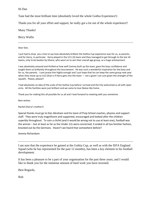# Hi Dan

Tane had the most brilliant time (absolutely loved the whole Gothia Experience!)

Thank-you for all your effort and support, he really got a lot out of the whole experience!!

Many Thanks!

Berry Wallis

Dear Dan,

I just had to drop you a line to say how absolutely brilliant the Gothia Cup experience was for us, as parents, and for Harry, in particular. Harry played in the U11 (3) team and they managed to get through to the last 16 teams, only to be beaten by Ghana, who went on to win their overall age group, so a huge achievement.

I was absolutely amazed and thrilled at how well Cammy built up the team, gave the boys confidence and taught them so brilliantly throughout the tournament. He was such a wonderful inspiration for the boys and for us, the parents. I cant praise him highly enough and I just hope that he can keep the same group next year when they move up to U12 (that is if Harry gets into the team — not a given I am sure given the strength of the squad!). Please, please!!

I had absolutely no idea of the scale of the Gothia Cup before I arrived and the City welcomed us all with open arms. All the facilities were just brilliant and we came to love Skatas like home.

Thank you for making this all possible for us all and I look forward to meeting with you sometime.

Best wishes

Rachel (Harry's mother!)

Special thanks must go to Dan Abraham and his team of Prep School coaches, physios and support staff. They were truly magnificent and supported, encouraged and looked after the children superbly throughout. To coin a cliché (and it would be wrong not to use at least one), football was the winner – but at least as far as the Under 12s were concerned, it ended in all too familiar fashion, knocked out by the Germans. Haven't we heard that somewhere before?

Jeremy Richardson

I am sure that the experience he gained at the Gothia Cup, as well as with the ISFA England Squad (who he has represented for the past 12 months), has been a key element in his football development.

It has been a pleasure to be a part of your organisation for the past three years, and I would like to thank you for the immense amount of hard work you have invested.

Best Regards,

Rob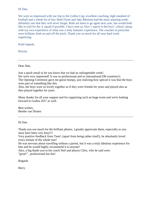# Hi Dan,

We were so impressed with our trip to the Gothia Cup; excellent coaching, high standard of football and a whole lot of fun. Both Flynn and Jake Ibbotson had the most amazing week, definitely one that they will never forget. Both are keen to go again next year, but would both like to trial for the A squad if possible. I have sent on Alex's report to the boys' school, along with my own experience of what was a truly fantastic experience. The coaches in particular were brilliant, both on and off the pitch. Thank you so much for all your hard work organising.

Kind regards,

Bryony

Dear Dan,

Just a quick email to let you know that we had an unforgettable week! We were very impressed! It was so professional and so international (90 countries!). The Opening Ceremony gave me goose bumps, just realizing how special it was that the boys were part of something like this.

Also, the boys were so lovely together as if they were friends for years and played also as they played together for years.

Many thanks for all your support and for organizing such an huge event and we're looking forward to Gothia 2017 as well.

Best wishes, Benthe van Druten

# Hi Dan

Thank-you soo much for the brilliant photos, I greatly appreciate them, especially as you must have been very busy!!!

Very positive feedback from Tane!..(apart from being rather tired!), he absolutely loved every minute of the whole tour!

He was nervous about travelling without a parent, but it was a truly fabulous experience for him and he would highly recommend it to anyone!

Also, a big thank-you to his coach Neil and physio Chris, who he said were "great!"...professional but fun!

Regards

Berry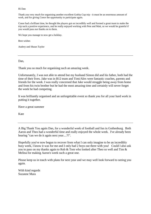### Hi Dan

Thank you very much for organising another excellent Gothia Cup trip - it must be an enormous amount of work, and for giving Conor the opportunity to participate again.

Conor had a brilliant time, he thought the players got on incredibly well and formed a great team to make the trip such a positive experience, and he really enjoyed working with Pete and Matt, so we would be grateful if you would pass our thanks on to them.

We hope you manage to now get a holiday.

Best wishes

Audrey and Shaun Taylor

Dan.

Thank you so much for organising such an amazing week.

Unfortunately, I was not able to attend but my husband Simon did and his father, both had the time of their lives. Jake was in B12 team and Timi/Alex were fantastic coaches, parents and friends for the week. I was really concerned that Jake would struggle being away from home and from his twin brother but he had the most amazing time and certainly will never forget the week he had competing.

It was brilliantly organised and an unforgettable event so thank you for all your hard work in putting it together.

Have a great summer

Kate

A Big Thank You again Dan, for a wonderful week of football and fun in Gothenburg. Both Aaron and Theo had a wonderful time and really enjoyed the whole week. I've already been hearing "can we do it again next year....?!".

Hopefully you've now begun to recover from what I can only imagine to be an incredibly busy week, I know it was for me and I only had 2 boys out there with you! Could I also ask you to pass on my thanks again to Rob & Tom who looked after Theo so well and Tim & Melina for making Aaron's week such a great one.

Please keep us in touch with plans for next year and we may well look forward to seeing you again.

With kind regards Suzanne Mara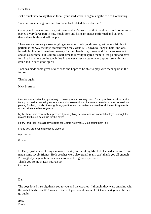Dear Dan,

Just a quick note to say thanks for all your hard work in organising the trip to Gothenburg.

Tom had an amazing time and has come back elated, but exhausted!

Cammy and Shannon were a great team, and we're sure that their hard work and commitment played a very large part in how much Tom and his team-mates performed and enjoyed themselves, both on & off the pitch.

There were some very close-fought games when the boys showed great team spirit, but in particular the way the boys reacted when they went 10-0 down to Lizzy at half time was incredible. It would have been so easy for their heads to go down and for the tournament to end on a sour note, but Cammy's half-time talk really inspired them to just go out and have fun. In all my time on the touch line I have never seen a team in any sport lose with such grace and in such good spirits.

Tom has made some great new friends and hopes to be able to play with them again in the future.

Thanks again,

Nick & Anna

I just wanted to take the opportunity to thank you both so very much for all your hard work at Gothia. Henry has had an amazing experience and absolutely loved his time in Sweden - he of course loved playing football, but also thoroughly enjoyed the team experience as well as all the exciting events and activities you had organised.

My husband was extremely impressed by everything he saw, and we cannot thank you enough for making Gothia so much fun for the boys!

Henry (and Nick) are already excited for Gothia next year.......so count them in!!!

I hope you are having a relaxing week off.

Best wishes,

Emma

Hi Dan, I just wanted to say a massive thank you for taking Mitchell. He had a fantastic time made some lovely friends. Both coaches were also great I really can't thank you all enough. I'm so glad you gave him the chance to have this great experience. Thank you so much Dan your a star. Gemma

# Dan

The boys loved it so big thank you to you and the coaches - I thought they were amazing with the kids. Charlie our U13 wants to know if you would take an U14 team next year so he can go again!

Best Paula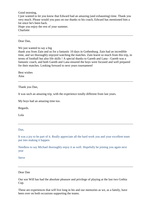Good morning,

I just wanted to let you know that Edward had an amazing (and exhausting) time. Thank you very much. Please would you pass on our thanks to his coach, Edward has mentioned him a lot since he's been back.

Hope you enjoy the rest of your summer. **Charlotte** 

Dear Dan,

We just wanted to say a big

thank you from Zain and us for a fantastic 10 days in Gothenburg. Zain had an incredible time, and we thoroughly enjoyed watching the matches. Zain learnt so much from this trip, in terms of football but also life skills ! A special thanks to Gareth and Lana - Gareth was a fantastic coach, and both Gareth and Lana ensured the boys were focused and well prepared for their matches. Looking forward to next years tournament!

Best wishes Aina

Thank you Dan,

It was such an amazing trip, with the experience totally different from last years.

My boys had an amazing time too.

Regards.

Lola

Dan,

It was a joy to be part of it. Really appreciate all the hard work you and your excellent team put into making it happen

Needless to say Michael thoroughly enjoy it as well. Hopefully be joining you again next year

Steve

Dear Dan

Our son Will has had the absolute pleasure and privilege of playing at the last two Gothia Cup.

These are experiences that will live long in his and our memories as we, as a family, have been over on both occasions supporting the teams.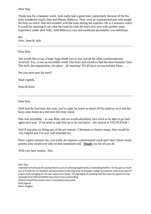Dear Dan,

Thank you for a fantastic week. Josh really had a great time, particularly because of the his truly wonderful coach, Dan and Physio, Rebecca. They were an inspirational pair who taught the boys so much. Dan did wonders with the team during the matches. He is a fantastic coach. It would be amazing to see what he could do with the boys next year with another years experience under their belts. And Rebecca's care and exuberant personality was infectious.

Bw Alex, Sean & Josh

Dear Dan,

Just would like to say a huge, huge thank you to you and all the other coaches/physios involved. Yes, it was an incredible week! Our boys and ourselves had the most fantastic time. The staff, the organisation, the place – all amazing! We all have serious holiday blues…….

See you next year for sure!!

Kind regards,

Petra & Enzo

Dear Dan,

Zach had the best time this year; you're right, he learnt as much off the pitch as on it and the boys came home as a real unit this time round.

Pete was incredible – as was Matt, and we would absolutely love Zach to be able to go back again next year. If we need to sign him up or let you know – the answer is YES PLEASE !

And if you plan on doing any of the pre-season / Christmas or Easter camps, they would be very helpful and I'm sure well attended too.

Have a great summer too; you really do organise a phenomenal week and I don't know many parents who would ever take on that mammoth task. **Thank** you for all you do.

With very best wishes, Alix

Dear Dan,

Patrick himself has loved it but is now pretty exhausted.

Kind regards

Alison Hughes

I wanted to thank you for giving Patrick such an amazing opportunity in attending Gothia . He has got so much out of it both for his football, and personally in learning how to manage a large tournament, how to be part of a team and managing on his own away from home. The standard of coaching and the level of support he has received from Daff and Molly have been truly outstanding.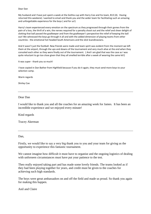#### Dear Dan

My husband and I have just spent a week at the Gothia cup with Harry Coe and his team, B13 (4). Having returned this weekend, I wanted to email and thank you and the wider team for facilitating such an amazing and unforgettable experience for the boys ( and for us!)

Harry's team experienced every emotion on the spectrum as they progressed through their games from the pain of a loss, the thrill of a win, the nerves required for a penalty shoot out and the relief and sheer delight of slotting that ball passed the goalkeeper and from the goalkeeper's perspective the relief of keeping the ball out! We witnessed the boys go through it all and with the added dimension of playing teams from other countries - the emotional hot headed South Americans and the slick Scandinavians.

And it wasn't just the football. New friends were made and team spirit was evident from the moment we left them at the airport, through the ups and downs of the tournament and very much alive at the end when they consoled each other as they were finally out of the tournament. ( And I am glad that was the case as I was quite reluctant to go too close given that they all smelled terrible after a week of wearing the same kit!)

It was super - thank you so much!

I have copied in Dan Bather from Highfield because if you do it again, they must send more boys to your selection camp.

Warm regards

Shirley Coe

### Dear Dan

I would like to thank you and all the coaches for an amazing week for James. It has been an incredible experience and we enjoyed every minute!

Kind regards

Tracey Akerman

Dan,

Firstly, we would like to say a very big thank you to you and your team for giving us the opportunity to experience this fantastic tournament.

We cannot imagine how difficult it must have to organise and the ongoing logistics of dealing with unforseen circumstances must have put your patience to the test.

Theo really enjoyed taking part and has made some lovely friends. The teams looked as if they had been playing together for years, and credit must be given to the coaches for achieving such high standards.

The boys were great ambassadors on and off the field and made us proud. So thank you again for making this happen.

Anil and Claire